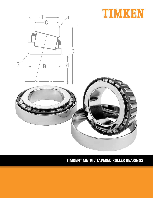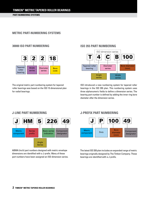**PART-NUMBERING SYSTEMS**

# **METRIC PART-NUMBERING SYSTEMS**

### **30000 ISO PART NUMBERING**

**J-LINE PART NUMBERING**



The original metric part-numbering system for tapered roller bearings was based on the ISO 15 dimensional plan for radial bearings.

### **ISO 355 PART NUMBERING**



ISO introduced a new numbering system for tapered roller bearings in the ISO 355 plan. This numbering system uses three alphanumeric fields to define a dimension series. The bearing part number is defined by adding the inner ring bore diameter after the dimension series.



ABMA (inch) part numbers designed with metric envelope dimensions are identified with a J-prefix. Many of these part numbers have been assigned an ISO dimension series.

# **J-PREFIX PART NUMBERING**



The latest ISO 355 plan includes an expanded range of metric bearings originally designed by The Timken Company. These bearings are identified with a J-prefix.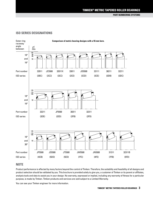**PART-NUMBERING SYSTEMS**

### **ISO SERIES DESIGNATIONS**



### **NOTE**

Product performance is affected by many factors beyond the control of Timken. Therefore, the suitability and feasibility of all designs and product selection should be validated by you. This brochure is provided solely to give you, a customer of Timken or its parent or affiliates, analysis tools and data to assist you in your design. No warranty, expressed or implied, including any warranty of fitness for a particular purpose, is made by Timken. Timken products and services are sold subject to a Limited Warranty.

You can see your Timken engineer for more information.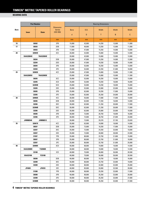|      |              | <b>Part Number</b> |                                                |             |        | <b>Bearing Dimensions</b> |        |        |
|------|--------------|--------------------|------------------------------------------------|-------------|--------|---------------------------|--------|--------|
| Bore | <b>Inner</b> | <b>Outer</b>       | <b>Dimension</b><br><b>Series</b><br>(ISO 355) | <b>Bore</b> | 0.D.   | Width                     | Width  | Width  |
|      |              |                    |                                                | d           | D      | Τ                         | B      | C      |
|      |              |                    | mm                                             | mm          | mm     | mm                        | mm     | mm     |
| 15   |              | 30302              | 2FB                                            | 15,000      | 42,000 | 14,250                    | 13,000 | 11,000 |
| 17   |              | 30203              | 2DB                                            | 17,000      | 40,000 | 13,250                    | 12,000 | 11,000 |
|      |              | 30303              | 2FB                                            | 17,000      | 47,000 | 15,250                    | 14,000 | 12,000 |
| 20   |              | 32004X             | 3CC                                            | 20,000      | 42,000 | 15,000                    | 15,000 | 12,000 |
|      | XAA32004X    | YAA32004X          | $\overline{\phantom{a}}$                       | 20,000      | 42,000 | 15,000                    | 15,000 | 12,000 |
|      |              | 30204              | 2DB                                            | 20,000      | 47,000 | 15,250                    | 14,000 | 12,000 |
|      |              | 32204              | 2DD                                            | 20,000      | 47,000 | 19,250                    | 18,000 | 15,000 |
|      | 30304        |                    | 2FB                                            | 20,000      | 52,000 | 16,250                    | 15,000 | 13,000 |
|      |              | 32304              | 2FD                                            | 20,000      | 52,000 | 22,250                    | 21,000 | 18,000 |
| 25   |              | 32005X             | 4CC                                            | 25,000      | 47,000 | 15,000                    | 15,000 | 11,500 |
|      | XAA32005X    | YAA32005X          | $\blacksquare$                                 | 25,000      | 47,000 | 15,000                    | 15,000 | 11,500 |
|      | 30205        |                    | 3CC                                            | 25,000      | 52,000 | 16,250                    | 15,000 | 13,000 |
|      | 32205        |                    | 2CD                                            | 25,000      | 52,000 | 19,250                    | 18,000 | 16,000 |
|      | 32205B       |                    | 5CD                                            | 25,000      | 52,000 | 19,250                    | 18,000 | 15,000 |
|      | 33205        |                    | 2DE                                            | 25,000      | 52,000 | 22,000                    | 22,000 | 18,000 |
|      | 30305        |                    | 2FB                                            | 25,000      | 62,000 | 18,250                    | 17,000 | 15,000 |
|      | 32305        |                    | 2FD                                            | 25,000      | 62,000 | 25,250                    | 24,000 | 20,000 |
| 30   |              | 32006X             | 4CC                                            | 30,000      | 55,000 | 17,000                    | 17,000 | 13,000 |
|      |              | 30206              | 3DB                                            | 30,000      | 62,000 | 17,250                    | 16,000 | 14,000 |
|      | 32206        |                    | 3DC                                            | 30,000      | 62,000 | 21,250                    | 20,000 | 17,000 |
|      | 32206B       |                    | 5DC                                            | 30,000      | 62,000 | 21,250                    | 20,000 | 17,000 |
|      |              | 33206              | 2DE                                            | 30,000      | 62,000 | 25,000                    | 25,000 | 19,500 |
|      | 30306        |                    | 2FB                                            | 30,000      | 72,000 | 20,750                    | 19,000 | 16,000 |
|      | 32306        |                    | 2FD                                            | 30,000      | 72,000 | 28,750                    | 27,000 | 23,000 |
|      | JHM88540     | JHM88513           |                                                | 30,000      | 72,000 | 29,370                    | 27,783 | 23,020 |
| 35   |              | 32007X             | 4CC                                            | 35,000      | 62,000 | 18,000                    | 18,000 | 14,000 |
|      | 30207        |                    | 3DB                                            | 35,000      | 72,000 | 18,250                    | 17,000 | 15,000 |
|      |              | 32207              | 3DC                                            | 35,000      | 72,000 | 24,250                    | 23,000 | 19,000 |
|      |              | 33207              | 2DE                                            | 35,000      | 72,000 | 28,000                    | 28,000 | 22,000 |
|      |              | 31307              | 7FB                                            | 35,000      | 80,000 | 22,750                    | 21,000 | 15,000 |
|      |              | 30307              | 2FB                                            | 35,000      | 80,000 | 22,750                    | 21,000 | 18,000 |
|      |              | 32307              | 2FE                                            | 35,000      | 80,000 | 32,750                    | 31,000 | 25,000 |
| 40   |              | 32008X             | 3CD                                            | 40,000      | 68,000 | 19,000                    | 19,000 | 14,500 |
|      | XAA32008X    | Y32008X            | $\blacksquare$                                 | 40,000      | 68,000 | 19,000                    | 19,000 | 14,500 |
|      |              | 33108              | 2CE                                            | 40,000      | 75,000 | 26,000                    | 26,000 | 20,500 |
|      | XAA33108     | Y33108             | $\Box$                                         | 40,000      | 75,000 | 26,000                    | 26,000 | 20,500 |
|      |              | 30208              | 3DB                                            | 40,000      | 80,000 | 19,750                    | 18,000 | 16,000 |
|      |              | 32208              | 3DC                                            | 40,000      | 80,000 | 24,750                    | 23,000 | 19,000 |
|      |              | 33208              | 2DE                                            | 40,000      | 80,000 | 32,000                    | 32,000 | 25,000 |
|      | JF4049       | JF4010             | 2EE                                            | 40,000      | 85,000 | 33,000                    | 32,500 | 28,000 |
|      |              | 31308              | 7FB                                            | 40,000      | 90,000 | 25,250                    | 23,000 | 17,000 |
|      |              | 30308              | 2FB                                            | 40,000      | 90,000 | 25,250                    | 23,000 | 20,000 |
|      |              | 32308              | 2FD                                            | 40,000      | 90,000 | 35,250                    | 33,000 | 27,000 |
|      |              | 32308B             | 5FD                                            | 40,000      | 90,000 | 35,250                    | 33,000 | 27,000 |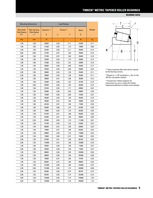#### **BEARING DATA**

|                                   | <b>Mounting Dimensions</b>   |                        |      | <b>Load Ratings</b>    |                  |        |
|-----------------------------------|------------------------------|------------------------|------|------------------------|------------------|--------|
| <b>Max Shaft</b>                  | <b>Max Housing</b>           | Dynamic <sup>(2)</sup> |      | Factors <sup>(3)</sup> | <b>Static</b>    | Weight |
| <b>Fillet Radius</b><br>$R^{(1)}$ | <b>Fillet Radius</b><br>r(1) | $C_{1}$                | e    | Y                      | $\mathtt{C_{o}}$ |        |
| mm                                | mm                           | N                      |      |                        | N                | kg     |
| 1,00                              | 1,00                         | 26000                  | 0,29 | 2,11                   | 22200            | 0,11   |
| 1,00                              | 1,00                         | 21300                  | 0,35 | 1,74                   | 19900            | 0,08   |
| 1,00                              | 1,00                         | 32700                  | 0,29 | 2,11                   | 28400            | 0,14   |
| 0,60                              | 0,60                         | 27700                  | 0,37 | 1,60                   | 29400            | 0,10   |
| 2,00                              | 1,00                         | 27700                  | 0,37 | 1,60                   | 29400            | 0.10   |
| 1,00                              | 1,00                         | 33200                  | 0,35 | 1,74                   | 33000            | 0,13   |
| 1,00                              | 1,00                         | 41800                  | 0,33 | 1,81                   | 43000            | 0,16   |
| 1,50                              | 1,50                         | 38500                  | 0,30 | 2,00                   | 34500            | 0,17   |
| 1,50                              | 1,50                         | 55200                  | 0,30 | 2,00                   | 55000            | 0,24   |
| 3,30                              | 1,00                         | 30800                  | 0,43 | 1,39                   | 35400            | 0,11   |
| 3,30                              | 1,00                         | 30800                  | 0,43 | 1,39                   | 35400            | 0.11   |
| 1,00                              | 1,00                         | 36900                  | 0,37 | 1,60                   | 38300            | 0,15   |
| 1,00                              | 1,00                         | 42000                  | 0,36 | 1,67                   | 42100            | 0,18   |
| 1,00                              | 2,00                         | 39700                  | 0,58 | 1,03                   | 46300            | 0,19   |
| 1,00                              | 1,00                         | 55100                  | 0,35 | 1,71                   | 63600            | 0,23   |
| 1,50                              | 1,50                         | 53800                  | 0,30 | 2,00                   | 49600            | 0,26   |
| 1,50                              | 1,50                         | 72400                  | 0,30 | 2,00                   | 72400            | 0,37   |
| 1,00                              | 1,00                         | 39200                  | 0,43 | 1,39                   | 45300            | 0,18   |
| 1,00                              | 1,00                         | 49300                  | 0,37 | 1,60                   | 43800            | 0,23   |
| 1,00                              | 1,00                         | 64100                  | 0,37 | 1,60                   | 71900            | 0,29   |
| 1,00                              | 1,00                         | 55800                  | 0,56 | 1,07                   | 62300            | 0,30   |
| 1,00                              | 1,00                         | 73900                  | 0,34 | 1,76                   | 82200            | 0,35   |
| 1,50                              | 1,50                         | 67700                  | 0,31 | 1,90                   | 65300            | 0,39   |
| 1,50                              | 1,50                         | 87600                  | 0,31 | 1,90                   | 89800            | 0,56   |
| 1,30                              | 3,30                         | 87000                  | 0,55 | 1,10                   | 111000           | 0,61   |
| 1,00                              | 1,00                         | 47700                  | 0,45 | 1,32                   | 57600            | 0,22   |
| 1,50                              | 1,50                         | 60600                  | 0,37 | 1,60                   | 63600            | 0,34   |
| 1,50                              | 1,50                         | 74900                  | 0,37 | 1,60                   | 82300            | 0,44   |
| 1,50                              | 1,50                         | 99900                  | 0,35 | 1,70                   | 116000           | 0,52   |
| 2,00                              | 1,50                         | 72800                  | 0,83 | 0,73                   | 74800            | 0,55   |
| 2,00                              | 1,50                         | 87200                  | 0,31 | 1,90                   | 86100            | 0,53   |
| 2,00                              | 1,50                         | 116000                 | 0,31 | 1,90                   | 123000           | 0,76   |
| 1,00                              | 1,00                         | 55500                  | 0,38 | 1,58                   | 71600            | 0,27   |
| 3,50                              | 1,00                         | 55500                  | 0,38 | 1,58                   | 71600            | 0,27   |
| 1,50                              | 1,50                         | 88000                  | 0,36 | 1,69                   | 105000           | 0,50   |
| 3,50                              | 1,50                         | 88000                  | 0,36 | 1,69                   | 105000           | 0,50   |
| 1,50                              | 1,50                         | 70900                  | 0,37 | 1,60                   | 74700            | 0,43   |
| 1,50                              | 1,50                         | 88300                  | 0,37 | 1,60                   | 98000            | 0,53   |
| 1,50                              | 1,50                         | 121000                 | 0,36 | 1,68                   | 144000           | 0,73   |
| 2,50                              | 2,00                         | 137000                 | 0,34 | 1,74                   | 160000           | 0,90   |
| 2,00                              | 1,50                         | 85300                  | 0,83 | 0,73                   | 88100            | 0,73   |
| 2,00                              | 1,50                         | 98700                  | 0,35 | 1,74                   | 102000           | 0,73   |
| 2,00                              | 1,50                         | 133000                 | 0,35 | 1,74                   | 150000           | 1,03   |
| 2,00                              | 1,50                         | 132000                 | 0,55 | 1,10                   | 160000           | 1,10   |



(1) These maximum fillet radii will be cleared by the bearing corners.

<sup>(2)</sup> Based on 1 x 10<sup>6</sup> revolutions  $L_{10}$  life, for the ISO life-calculation method.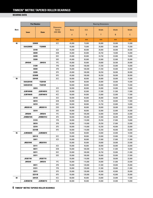|             | <b>Part Number</b><br><b>Bearing Dimensions</b> |                  |                                                |             |         |              |        |        |
|-------------|-------------------------------------------------|------------------|------------------------------------------------|-------------|---------|--------------|--------|--------|
| <b>Bore</b> | <b>Inner</b>                                    | <b>Outer</b>     | <b>Dimension</b><br><b>Series</b><br>(ISO 355) | <b>Bore</b> | 0.D.    | <b>Width</b> | Width  | Width  |
|             |                                                 |                  |                                                | d           | D       | Τ            | B      | C      |
|             |                                                 |                  | mm                                             | mm          | mm      | mm           | mm     | mm     |
| 45          |                                                 | 32009X           | 3CC                                            | 45,000      | 75,000  | 20,000       | 20,000 | 15,500 |
|             | XAA32009X                                       | Y32009X          |                                                | 45,000      | 75,000  | 20,000       | 20,000 | 15,500 |
|             |                                                 | 33109            | 3CE                                            | 45,000      | 80,000  | 26.000       | 26,000 | 20,500 |
|             |                                                 | 30209            | 3DB                                            | 45,000      | 85,000  | 20,750       | 19,000 | 16,000 |
|             |                                                 | 32209            | 3DC                                            | 45,000      | 85,000  | 24,750       | 23,000 | 19,000 |
|             |                                                 | 33209            | 3DE                                            | 45,000      | 85,000  | 32,000       | 32,000 | 25,000 |
|             | <b>JW4549</b>                                   | <b>JW4510</b>    | 7FC                                            | 45,000      | 95,000  | 29,000       | 26,500 | 20,000 |
|             |                                                 | 31309            | 7FB                                            | 45,000      | 100,000 | 27,250       | 25,000 | 18,000 |
|             |                                                 | 30309            | 2FB                                            | 45,000      | 100,000 | 27,250       | 25,000 | 22,000 |
|             |                                                 | 32309            | 2FD                                            | 45,000      | 100,000 | 38,250       | 36,000 | 30,000 |
|             |                                                 | 32309B           | 5FD                                            | 45,000      | 100,000 | 38,250       | 36,000 | 30,000 |
| 50          |                                                 | 32010X           | 3CC                                            | 50,000      | 80,000  | 20,000       | 20,000 | 15,500 |
|             | XAA32010X                                       | Y32010X          | $\overline{\phantom{a}}$                       | 50,000      | 80,000  | 20,000       | 20,000 | 15,500 |
|             | <b>XAB32010X</b>                                | Y32010X          |                                                | 50,000      | 80,000  | 20,000       | 20,000 | 15,500 |
|             |                                                 | 33010            | 2CE                                            | 50,000      | 80,000  | 24,000       | 24,000 | 19,000 |
|             | <b>JLM104948</b>                                | JLM104910        | 2CC                                            | 50,000      | 82,000  | 21,500       | 21,500 | 17,000 |
|             | JLM704649                                       | JLM704610        | 4CC                                            | 50,000      | 84,000  | 22,000       | 22,000 | 17,500 |
|             |                                                 | 33110            | 3CE                                            | 50,000      | 85,000  | 26,000       | 26,000 | 20,000 |
|             |                                                 | 30210            | 3DB                                            | 50,000      | 90,000  | 21,750       | 20,000 | 17,000 |
|             |                                                 | 32210            | 3DC                                            | 50,000      | 90,000  | 24,750       | 23,000 | 19,000 |
|             | JM205149                                        | JM205110         | 2DD                                            | 50,000      | 90,000  | 28,000       | 28,000 | 23,000 |
|             |                                                 | 33210            | 3DE                                            | 50,000      | 90,000  | 32,000       | 32,000 | 24,500 |
|             | <b>JW5049</b>                                   | <b>JW5010</b>    | 7FC                                            | 50,000      | 105,000 | 32,000       | 29,000 | 22,000 |
|             | JHM807045                                       | JHM807012        | 4FD                                            | 50,000      | 105,000 | 37,000       | 36,000 | 29,000 |
|             |                                                 | 31310            | 7FB                                            | 50,000      | 110,000 | 29,250       | 27,000 | 19,000 |
|             |                                                 | 30310            | 2FB                                            | 50,000      | 110,000 | 29,250       | 27,000 | 23,000 |
|             |                                                 | 32310            | 2FD                                            | 50,000      | 110,000 | 42,250       | 40,000 | 33.000 |
|             | 32310B                                          |                  | 5FD                                            | 50,000      | 110,000 | 42,250       | 40,000 | 33,000 |
| 55          | JLM506849                                       | JLM506810        |                                                | 55,000      | 90,000  | 23,000       | 23,000 | 18,500 |
|             |                                                 | 32011X           | 3CC                                            | 55,000      | 90,000  | 23,000       | 23,000 | 17,500 |
|             |                                                 | 33011            | 2CE                                            | 55,000      | 90,000  | 27,000       | 27,000 | 21,000 |
|             | JM207049                                        | JM207010         | $\overline{\phantom{a}}$                       | 55,000      | 95,000  | 29,000       | 29,000 | 23,500 |
|             |                                                 | 33111            | 3CE                                            | 55,000      | 95,000  | 30,000       | 30,000 | 23,000 |
|             |                                                 | 30211            | 3DB                                            | 55,000      | 100,000 | 22,750       | 21,000 | 18,000 |
|             |                                                 | 32211            | 3DC                                            | 55,000      | 100,000 | 26,750       | 25,000 | 21,000 |
|             |                                                 | 33211            | 3DE                                            | 55,000      | 100,000 | 35,000       | 35,000 | 27,000 |
|             | JH307749                                        | JH307710         | $\Box$                                         | 55,000      | 110,000 | 39,000       | 39,000 | 32,000 |
|             | <b>JW5549</b>                                   | <b>JW5510</b>    | 7FC                                            | 55,000      | 115,000 | 34,000       | 31,000 | 23,500 |
|             |                                                 | 30311            | 2FB                                            | 55,000      | 120,000 | 31,500       | 29,000 | 25,000 |
|             |                                                 | 31311            | 7FB                                            | 55,000      | 120,000 | 31,500       | 29,000 | 21,000 |
|             |                                                 | 32311            | 2FD                                            | 55,000      | 120,000 | 45,500       | 43,000 | 35,000 |
|             |                                                 | 32311B           | 5FD                                            | 55,000      | 120,000 | 45,500       | 43,000 | 35,000 |
| 60          |                                                 | 32012X           | 4CC                                            | 60,000      | 95,000  | 23,000       | 23,000 | 17,500 |
|             | <b>JLM508748</b>                                | <b>JLM508710</b> | 3CD                                            | 60,000      | 95,000  | 24,000       | 24,000 | 19,000 |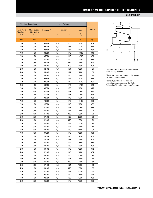#### **BEARING DATA**

|                                   | <b>Mounting Dimensions</b>   |                        |      | <b>Load Ratings</b>    |                  |        |
|-----------------------------------|------------------------------|------------------------|------|------------------------|------------------|--------|
| <b>Max Shaft</b>                  | <b>Max Housing</b>           | Dynamic <sup>(2)</sup> |      | Factors <sup>(3)</sup> | <b>Static</b>    | Weight |
| <b>Fillet Radius</b><br>$R^{(1)}$ | <b>Fillet Radius</b><br>r(1) | $C_{1}$                | e    | Y                      | $\mathtt{C_{o}}$ |        |
| mm                                | mm                           | N                      |      |                        | N                | kg     |
| 1,00                              | 1,00                         | 66400                  | 0,39 | 1,53                   | 84300            | 0,34   |
| 3,00                              | 1,00                         | 66400                  | 0,39 | 1,53                   | 84300            | 0,34   |
| 1,50                              | 1,50                         | 95100                  | 0,38 | 1,57                   | 119000           | 0,54   |
| 1,50                              | 1,50                         | 80000                  | 0,40 | 1,48                   | 89000            | 0,49   |
| 1,50                              | 1,50                         | 87500                  | 0,40 | 1,48                   | 98700            | 0,58   |
| 1,50                              | 1,50                         | 125000                 | 0,39 | 1,56                   | 155000           | 0,79   |
| 2,50                              | 2,50                         | 99900                  | 0,87 | 0,69                   | 114000           | 0,90   |
| 2,00                              | 1,50                         | 106000                 | 0,83 | 0,73                   | 113000           | 0,94   |
| 2,00                              | 1,50                         | 129000                 | 0,35 | 1,74                   | 139000           | 1,01   |
| 2,00                              | 1,50                         | 154000                 | 0,35 | 1,74                   | 171000           | 1,36   |
| 2,00                              | 1,50                         | 159000                 | 0,55 | 1,10                   | 187000           | 1,42   |
| 1,00                              | 1,00                         | 69800                  | 0,42 | 1,42                   | 92700            | 0,36   |
| 2,30                              | 1,00                         | 69800                  | 0,42 | 1,42                   | 92700            | 0,36   |
| 3,00                              | 1,00                         | 69800                  | 0,42 | 1,42                   | 92700            | 0,36   |
| 1,00                              | 1,00                         | 80600                  | 0,32 | 1,90                   | 112000           | 0,45   |
| 3,00                              | 0,50                         | 81300                  | 0,31 | 1,97                   | 104000           | 0,42   |
| 3,50                              | 1,50                         | 81400                  | 0,44 | 1,37                   | 104000           | 0,46   |
| 1,50                              | 1,50                         | 96700                  | 0,41 | 1,46                   | 125000           | 0,58   |
| 1,50                              | 1,50                         | 79500                  | 0,42 | 1,43                   | 87400            | 0,54   |
| 1,50                              | 1,50                         | 99800                  | 0,42 | 1,43                   | 118000           | 0,62   |
| 3,00                              | 2,50                         | 124000                 | 0,33 | 1,82                   | 154000           | 0,74   |
| 1,50                              | 1,50                         | 130000                 | 0,41 | 1,45                   | 166000           | 1,03   |
| 3,00                              | 3,00                         | 119000                 | 0,87 | 0,69                   | 138000           | 1,23   |
| 3,00                              | 2,50                         | 172000                 | 0,49 | 1,23                   | 223000           | 1,50   |
| 2,50                              | 2,00                         | 124000                 | 0,83 | 0,73                   | 132000           | 1,21   |
| 2,50                              | 2,00                         | 149000                 | 0,35 | 1,74                   | 160000           | 1,25   |
| 2,50                              | 2,00                         | 187000                 | 0,35 | 1,74                   | 211000           | 1,83   |
| 2,50                              | 2,00                         | 193000                 | 0,55 | 1,10                   | 241000           | 1,94   |
| 1,50                              | 0,50                         | 91800                  | 0,40 | 1,49                   | 123000           | 0,54   |
| 1,50                              | 1,50                         | 94900                  | 0,41 | 1,48                   | 126000           | 0,56   |
| 1,50                              | 1,50                         | 99500                  | 0,31 | 1,92                   | 141000           | 0,66   |
| 1,50                              | 2,50                         | 131000                 | 0,33 | 1,79                   | 168000           | 0,83   |
| 1,50                              | 1,50                         | 133000                 | 0,37 | 1,60                   | 166000           | 0,83   |
| 2,00                              | 1,50                         | 107000                 | 0,40 | 1,48                   | 122000           | 0,72   |
| 2,00                              | 1,50                         | 121000                 | 0,40 | 1,48                   | 141000           | 0,84   |
| 2,00                              | 1,50                         | 162000                 | 0,40 | 1,50                   | 202000           | 1,16   |
| 3,00                              | 2,50                         | 210000                 | 0,35 | 1,73                   | 251000           | 1,68   |
| 3,00                              | 3,00                         | 145000                 | 0,87 | 0,69                   | 175000           | 1,57   |
| 2,50                              | 2,00                         | 174000                 | 0,35 | 1,74                   | 190000           | 1,63   |
| 2,50                              | 2,00                         | 145000                 | 0,83 | 0,73                   | 157000           | 1,57   |
| 2,50                              | 2,00                         | 228000                 | 0,35 | 1,74                   | 265000           | 2,32   |
| 2,50                              | 2,00                         | 223000                 | 0,55 | 1,10                   | 286000           | 2,45   |
| 1,50                              | 1,50                         | 96700                  | 0,43 | 1,39                   | 132000           | 0,60   |
| 5,00                              | 2,50                         | 97600                  | 0,40 | 1,49                   | 135000           | 0,59   |



(1) These maximum fillet radii will be cleared by the bearing corners.

<sup>(2)</sup> Based on 1 x 10<sup>6</sup> revolutions  $L_{10}$  life, for the ISO life-calculation method.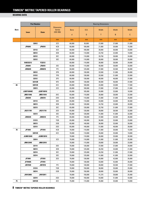|      |                         | <b>Part Number</b> |                                                | <b>Bearing Dimensions</b> |         |              |        |        |  |  |
|------|-------------------------|--------------------|------------------------------------------------|---------------------------|---------|--------------|--------|--------|--|--|
| Bore |                         |                    | <b>Dimension</b><br><b>Series</b><br>(ISO 355) | <b>Bore</b>               | 0.D.    | <b>Width</b> | Width  | Width  |  |  |
|      | <b>Inner</b>            | <b>Outer</b>       |                                                | d                         | D       | Τ            | B      | C      |  |  |
|      |                         |                    | mm                                             | mm                        | mm      | mm           | mm     | mm     |  |  |
|      |                         | 33012              | 2CE                                            | 60,000                    | 95,000  | 27,000       | 27,000 | 21,000 |  |  |
|      | JP6049                  | JP6010             | 4CB                                            | 60,000                    | 100,000 | 21,000       | 20,000 | 15,500 |  |  |
|      |                         | 33112              | 3CE                                            | 60,000                    | 100,000 | 30,000       | 30,000 | 23,000 |  |  |
|      |                         | 30212              | 3EB                                            | 60,000                    | 110,000 | 23,750       | 22,000 | 19,000 |  |  |
|      | 32212                   |                    | 3EC                                            | 60,000                    | 110,000 | 29,750       | 28,000 | 24,000 |  |  |
|      |                         | 33212              | 3EE                                            | 60,000                    | 110,000 | 38,000       | 38,000 | 29,000 |  |  |
|      | XAB33212                | Y33212             | $\overline{\phantom{a}}$                       | 60,000                    | 110,000 | 38,000       | 38,000 | 29,000 |  |  |
|      | JF6049                  | JF6010             | 2EE                                            | 60,000                    | 115,000 | 40,000       | 39,000 | 33,000 |  |  |
|      | <b>JW6049</b>           | <b>JW6010</b>      | 7FC                                            | 60,000                    | 125,000 | 37,000       | 33,500 | 26,000 |  |  |
|      |                         | 30312              | 2FB                                            | 60,000                    | 130,000 | 33,500       | 31,000 | 26,000 |  |  |
|      |                         | 31312              | 7FB                                            | 60,000                    | 130,000 | 33,500       | 31,000 | 22,000 |  |  |
|      |                         | 32312              | 2FD                                            | 60,000                    | 130,000 | 48,500       | 46,000 | 37,000 |  |  |
|      |                         | 32312B             | 5FD                                            | 60,000                    | 130,000 | 48,500       | 46,000 | 37,000 |  |  |
| 65   |                         | 32013X             | 4CC                                            | 65,000                    | 100,000 | 23,000       | 23,000 | 17,500 |  |  |
|      |                         | 33013              | 2CE                                            | 65,000                    | 100,000 | 27,000       | 27,000 | 21,000 |  |  |
|      | <b>JLM710949C</b>       | <b>JLM710910</b>   |                                                | 65,000                    | 105,000 | 24,000       | 23,000 | 18,500 |  |  |
|      | JM511946                | JM511910           | 3DC                                            | 65,000                    | 110,000 | 28,000       | 28,000 | 22,500 |  |  |
|      | JD6549<br><b>JD6510</b> |                    | 2DD                                            | 65,000                    | 110,000 | 31,000       | 31,000 | 25,000 |  |  |
|      |                         | 33113              | 3DE                                            | 65,000                    | 110,000 | 34,000       | 34,000 | 26,500 |  |  |
|      | 30213                   |                    | 3EB                                            | 65,000                    | 120,000 | 24,750       | 23,000 | 20,000 |  |  |
|      | 32213                   |                    | 3EC                                            | 65,000                    | 120,000 | 32,750       | 31,000 | 27,000 |  |  |
|      | JH211749                | JH211710           | 2ED                                            | 65,000                    | 120,000 | 39,000       | 38,500 | 32,000 |  |  |
|      |                         | 33213              | 3EE                                            | 65,000                    | 120,000 | 41,000       | 41,000 | 32,000 |  |  |
|      | <b>JW6549</b>           | <b>JW6510</b>      | 7FC                                            | 65,000                    | 130,000 | 37,000       | 33,500 | 26,000 |  |  |
|      |                         | 31313              | 7GB                                            | 65,000                    | 140,000 | 36,000       | 33,000 | 23,000 |  |  |
|      |                         | 30313              | 2GB                                            | 65,000                    | 140,000 | 36,000       | 33,000 | 28,000 |  |  |
|      |                         | 32313              | 2GD                                            | 65,000                    | 140,000 | 51,000       | 48,000 | 39,000 |  |  |
| 70   | JP7049                  | <b>JP7010</b>      | 4CB                                            | 70,000                    | 110,000 | 21,000       | 20,000 | 15,500 |  |  |
|      |                         | 32014X             | 4CC                                            | 70,000                    | 110,000 | 25,000       | 25,000 | 19,000 |  |  |
|      | <b>JLM813049</b>        | <b>JLM813010</b>   |                                                | 70,000                    | 110,000 | 26,000       | 25,000 | 20,500 |  |  |
|      |                         | 33014              | 2CE                                            | 70,000                    | 110,000 | 31,000       | 31,000 | 25,500 |  |  |
|      | JM612949                | JM612910           | $\mathcal{L}$                                  | 70,000                    | 115,000 | 29,000       | 29,000 | 23,000 |  |  |
|      |                         | 33114              | 3DE                                            | 70,000                    | 120,000 | 37,000       | 37,000 | 29,000 |  |  |
|      |                         | 30214              | 3EB                                            | 70,000                    | 125,000 | 26,250       | 24,000 | 21,000 |  |  |
|      |                         | 32214              | 3EC                                            | 70,000                    | 125,000 | 33,250       | 31,000 | 27,000 |  |  |
|      |                         | 33214              | 3EE                                            | 70,000                    | 125,000 | 41,000       | 41,000 | 32,000 |  |  |
|      | <b>JF7049</b>           | JF7010             | 2ED                                            | 70,000                    | 130,000 | 43,000       | 42,000 | 35,000 |  |  |
|      | <b>JF7049A</b>          | JF7010             | $\mathcal{L}$                                  | 70,000                    | 130,000 | 43,000       | 42,000 | 35,000 |  |  |
|      | <b>JW7049</b>           | <b>JW7010</b>      | 7FC                                            | 70,000                    | 140,000 | 39,000       | 35,500 | 27,000 |  |  |
|      |                         | 31314              | 7GB                                            | 70,000                    | 150,000 | 38,000       | 35,000 | 25,000 |  |  |
|      |                         | 30314              | 2GB                                            | 70,000                    | 150,000 | 38,000       | 35,000 | 30,000 |  |  |
|      | JH913848                | JH913811           | $\overline{\phantom{a}}$                       | 70,000                    | 150,000 | 41,275       | 39,688 | 25,400 |  |  |
|      |                         | 32314              | 2GD                                            | 70,000                    | 150,000 | 54,000       | 51,000 | 42,000 |  |  |
| 75   |                         | 32015X             | 4CC                                            | 75,000                    | 115,000 | 25,000       | 25,000 | 19,000 |  |  |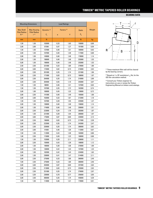#### **BEARING DATA**

|                                   | <b>Mounting Dimensions</b>   |                        |      | <b>Load Ratings</b>    |               |        |
|-----------------------------------|------------------------------|------------------------|------|------------------------|---------------|--------|
| <b>Max Shaft</b>                  | <b>Max Housing</b>           | Dynamic <sup>(2)</sup> |      | Factors <sup>(3)</sup> | <b>Static</b> | Weight |
| <b>Fillet Radius</b><br>$R^{(1)}$ | <b>Fillet Radius</b><br>r(1) | $C_{1}$                | e    | Y                      | $C_{0}$       |        |
| mm                                | mm                           | Ν                      |      |                        | N             | kg     |
| 1,50                              | 1,50                         | 103000                 | 0,33 | 1,83                   | 150000        | 0,69   |
| 2,00                              | 2,00                         | 87300                  | 0,47 | 1,27                   | 101000        | 0,59   |
| 1,50                              | 1,50                         | 137000                 | 0,40 | 1,51                   | 180000        | 0,92   |
| 2,00                              | 1,50                         | 107000                 | 0,40 | 1,48                   | 117000        | 0,88   |
| 2,00                              | 1,50                         | 149000                 | 0,40 | 1,48                   | 178000        | 1,14   |
| 2,00                              | 1,50                         | 198000                 | 0,40 | 1,48                   | 253000        | 1,53   |
| 5,00                              | 1,50                         | 198000                 | 0,40 | 1,48                   | 253000        | 1,53   |
| 2,50                              | 2,50                         | 231000                 | 0,33 | 1,80                   | 279000        | 1,86   |
| 3,00                              | 3,00                         | 172000                 | 0,82 | 0,73                   | 210000        | 2,02   |
| 3,00                              | 2,50                         | 201000                 | 0,35 | 1,74                   | 221000        | 1,96   |
| 3,00                              | 2,50                         | 171000                 | 0,83 | 0,73                   | 188000        | 1,97   |
| 3,00                              | 2,50                         | 264000                 | 0,35 | 1,74                   | 310000        | 2,89   |
| 3,00                              | 2,50                         | 264000                 | 0,55 | 1,10                   | 343000        | 3,07   |
| 1,50                              | 1,50                         | 98000                  | 0,46 | 1,31                   | 137000        | 0,64   |
| 1,50                              | 1,50                         | 107000                 | 0,35 | 1,72                   | 162000        | 0,74   |
| 3,00                              | 1,00                         | 108000                 | 0,45 | 1,32                   | 139000        | 0,72   |
| 3,00                              | 2,50                         | 141000                 | 0,40 | 1,49                   | 195000        | 1,06   |
| 2,00                              | 2,00                         | 163000                 | 0,33 | 1,81                   | 212000        | 1,18   |
| 1,50                              | 1,50                         | 167000                 | 0,39 | 1,55                   | 225000        | 1,27   |
| 2,00                              | 1,50                         | 138000                 | 0,40 | 1,48                   | 158000        | 1,14   |
| 2,00                              | 1,50                         | 174000                 | 0,40 | 1,48                   | 209000        | 1,51   |
| 3,00                              | 2,50                         | 223000                 | 0,34 | 1,78                   | 283000        | 1,87   |
| 2,00                              | 1,50                         | 221000                 | 0,39 | 1,54                   | 280000        | 1,97   |
| 3,00                              | 3,00                         | 175000                 | 0,87 | 0,69                   | 220000        | 2,14   |
| 3,00                              | 2,50                         | 196000                 | 0,83 | 0,73                   | 217000        | 2,39   |
| 3,00                              | 2,50                         | 222000                 | 0,35 | 1,74                   | 242000        | 2,47   |
| 3,00                              | 2,50                         | 320000                 | 0,35 | 1,74                   | 388000        | 3,62   |
| 2,00                              | 2,00                         | 91600                  | 0,46 | 1,30                   | 112000        | 0,67   |
| 1,50                              | 1,50                         | 112000                 | 0,43 | 1,38                   | 163000        | 0,86   |
| 1,00                              | 2,50                         | 115000                 | 0,49 | 1,23                   | 168000        | 0,88   |
| 1,50                              | 1,50                         | 153000                 | 0,28 | 2,11                   | 236000        | 1,11   |
| 3,00                              | 2,50                         | 150000                 | 0,43 | 1,39                   | 198000        | 1,12   |
| 2,00                              | 1,50                         | 198000                 | 0,38 | 1,58                   | 270000        | 1,69   |
| 2,00                              | 1,50                         | 138000                 | 0,42 | 1,43                   | 157000        | 1,23   |
| 2,00                              | 1,50                         | 182000                 | 0,42 | 1,43                   | 224000        | 1,63   |
| 2,00                              | 1,50                         | 238000                 | 0,41 | 1,47                   | 314000        | 2,11   |
| 3,00                              | 2,50                         | 275000                 | 0,33 | 1,80                   | 360000        | 2,49   |
| 7,00                              | 2,50                         | 275000                 | 0,33 | 1,80                   | 360000        | 2,46   |
| 3,00                              | 3,00                         | 204000                 | 0,87 | 0,69                   | 257000        | 2,64   |
| 3,00                              | 2,50                         | 213000                 | 0,83 | 0,73                   | 235000        | 2,92   |
| 3,00                              | 2,50                         | 251000                 | 0,35 | 1,74                   | 276000        | 2,97   |
| 2,00                              | 3,30                         | 230000                 | 0,78 | 0,77                   | 256000        | 3,05   |
| 3,00                              | 2,50                         | 366000                 | 0,35 | 1,74                   | 448000        | 4,39   |
| 1,50                              | 1,50                         | 114000                 | 0,46 | 1,31                   | 170000        | 0,91   |



(1) These maximum fillet radii will be cleared by the bearing corners.

<sup>(2)</sup> Based on 1 x 10<sup>6</sup> revolutions  $L_{10}$  life, for the ISO life-calculation method.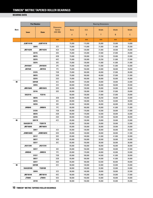|             |                  | <b>Part Number</b> |                                                |             |         | <b>Bearing Dimensions</b> |        |        |
|-------------|------------------|--------------------|------------------------------------------------|-------------|---------|---------------------------|--------|--------|
| <b>Bore</b> | <b>Inner</b>     | <b>Outer</b>       | <b>Dimension</b><br><b>Series</b><br>(ISO 355) | <b>Bore</b> | 0.D.    | <b>Width</b>              | Width  | Width  |
|             |                  |                    |                                                | d           | D       | Τ                         | B      | C      |
|             |                  |                    | mm                                             | mm          | mm      | mm                        | mm     | mm     |
|             | <b>JLM714149</b> | <b>JLM714110</b>   |                                                | 75,000      | 115,000 | 25,000                    | 25,000 | 19,000 |
|             |                  | 33015              | 2CE                                            | 75,000      | 115,000 | 31,000                    | 31,000 | 25,500 |
|             | JM714249         | JM714210           | 4CD                                            | 75,000      | 120,000 | 31,000                    | 29,500 | 25,000 |
|             |                  | 33115              | 3DE                                            | 75,000      | 125,000 | 37,000                    | 37,000 | 29,000 |
|             |                  | 30215              | 4DB                                            | 75,000      | 130,000 | 27,250                    | 25,000 | 22.000 |
|             |                  | 32215              | 4DC                                            | 75,000      | 130,000 | 33,250                    | 31,000 | 27,000 |
|             |                  | 33215              | 3EE                                            | 75,000      | 130,000 | 41,000                    | 41,000 | 31,000 |
|             | JH415647         | JH415610           | 2FE                                            | 75,000      | 145,000 | 51,000                    | 51,000 | 42,000 |
|             | <b>JW7549</b>    | <b>JW7510</b>      | 7FC                                            | 75,000      | 150,000 | 42,000                    | 38,000 | 29,000 |
|             |                  | 31315              | 7GB                                            | 75,000      | 160,000 | 40,000                    | 37,000 | 26,000 |
|             |                  | 30315              | 2GB                                            | 75,000      | 160,000 | 40,000                    | 37,000 | 31,000 |
|             |                  | 32315              | 2GD                                            | 75,000      | 160,000 | 58,000                    | 55,000 | 45,000 |
| 80          |                  | 32016X             | 3CC                                            | 80,000      | 125,000 | 29,000                    | 29,000 | 22,000 |
|             |                  | 33016              | 2CE                                            | 80,000      | 125,000 | 36,000                    | 36,000 | 29,500 |
|             | JM515649         | JM515610           | 3DD                                            | 80,000      | 130,000 | 35,000                    | 34,000 | 28,500 |
|             |                  | 33116              | 3DE                                            | 80,000      | 130,000 | 37,000                    | 37,000 | 29,000 |
|             | XA33116          | Y33116             |                                                | 80,000      | 130,000 | 37,000                    | 37,000 | 29,000 |
|             |                  | 30216              | 3EB                                            | 80,000      | 140,000 | 28,250                    | 26,000 | 22,000 |
|             |                  | 32216              | 3EC                                            | 80,000      | 140,000 | 35,250                    | 33,000 | 28,000 |
|             |                  | 33216              | 3EE                                            | 80,000      | 140,000 | 46,000                    | 46,000 | 35,000 |
|             | <b>JW8049</b>    | JW8010             | 7FC                                            | 80,000      | 160,000 | 45,000                    | 41,000 | 31,000 |
|             |                  | 31316              | 7GB                                            | 80,000      | 170,000 | 42,500                    | 39,000 | 27,000 |
|             |                  | 30316              | 2GB                                            | 80,000      | 170,000 | 42,500                    | 39,000 | 33,000 |
|             |                  | 32316              | 2GD                                            | 80,000      | 170,000 | 61,500                    | 58,000 | 48,000 |
| 85          |                  | 32017X             | 4CC                                            | 85,000      | 130,000 | 29,000                    | 29,000 | 22,000 |
|             | XAA32017X        | Y32017X            | $\blacksquare$                                 | 85,000      | 130,000 | 29,000                    | 29,000 | 22,000 |
|             | JM716649         | JM716610           | $\overline{\phantom{a}}$                       | 85,000      | 130,000 | 30,000                    | 29,000 | 24,000 |
|             |                  | 33017              | 2CE                                            | 85,000      | 130,000 | 36,000                    | 36,000 | 29,500 |
|             | JHM516849        | JHM516810          | 3DD                                            | 85,000      | 140,000 | 39,000                    | 38,000 | 31,500 |
|             |                  | 33117              | 3DE                                            | 85,000      | 140,000 | 41,000                    | 41,000 | 32,000 |
|             |                  | 30217              | 3EB                                            | 85,000      | 150,000 | 30,500                    | 28,000 | 24,000 |
|             |                  | 32217              | 3EC                                            | 85,000      | 150,000 | 38,500                    | 36,000 | 30,000 |
|             | JH217249         | JH217210           | $\overline{\phantom{a}}$                       | 85,000      | 150,000 | 46,000                    | 46,000 | 38,000 |
|             |                  | 33217              | 3EE                                            | 85,000      | 150,000 | 49,000                    | 49,000 | 37,000 |
|             | <b>JW8549</b>    | <b>JW8510</b>      | 7FC                                            | 85,000      | 170,000 | 48,000                    | 45,000 | 33,000 |
|             |                  | 31317              | 7GB                                            | 85,000      | 180,000 | 44,500                    | 41,000 | 28,000 |
|             |                  | 30317              | 2GB                                            | 85,000      | 180,000 | 44,500                    | 41,000 | 34,000 |
|             |                  | 32317              | 2GD                                            | 85,000      | 180,000 | 63,500                    | 60,000 | 49,000 |
| 90          |                  | 32018X             | 3CC                                            | 90,000      | 140.000 | 32,000                    | 32,000 | 24,000 |
|             | XAA32018X        | Y32018X            | $\overline{\phantom{a}}$                       | 90,000      | 140,000 | 32,000                    | 32,000 | 24,000 |
|             |                  | 33018              | 2CE                                            | 90,000      | 140,000 | 39,000                    | 39,000 | 32,500 |
|             | JM718149         | JM718110           | 4DC                                            | 90,000      | 145,000 | 35,000                    | 34,000 | 27,000 |
|             | JT9049           | JT9010             | 5ED                                            | 90,000      | 150,000 | 42,000                    | 40,000 | 34,000 |
|             |                  | 33118              | 3DE                                            | 90,000      | 150,000 | 45,000                    | 45,000 | 35,000 |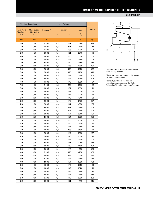#### **BEARING DATA**

|                                   | <b>Mounting Dimensions</b>   |                        |      | <b>Load Ratings</b>    |                  |        |
|-----------------------------------|------------------------------|------------------------|------|------------------------|------------------|--------|
| <b>Max Shaft</b>                  | <b>Max Housing</b>           | Dynamic <sup>(2)</sup> |      | Factors <sup>(3)</sup> | <b>Static</b>    | Weight |
| <b>Fillet Radius</b><br>$R^{(1)}$ | <b>Fillet Radius</b><br>r(1) | $C_{1}$                | e    | Y                      | $\mathtt{C_{o}}$ |        |
| mm                                | mm                           | N                      |      |                        | N                | kg     |
| 3,00                              | 2,50                         | 118000                 | 0,46 | 1,31                   | 167000           | 0,88   |
| 1,50                              | 1,50                         | 158000                 | 0,30 | 2,01                   | 239000           | 1,15   |
| 3,00                              | 2,50                         | 159000                 | 0,44 | 1,35                   | 229000           | 1,27   |
| 2,00                              | 1,50                         | 205000                 | 0,40 | 1,51                   | 287000           | 1,76   |
| 2,00                              | 1,50                         | 158000                 | 0,44 | 1,38                   | 189000           | 1,35   |
| 2,00                              | 1,50                         | 184000                 | 0,44 | 1,38                   | 227000           | 1,69   |
| 2,00                              | 1,50                         | 236000                 | 0,43 | 1,40                   | 316000           | 2,17   |
| 3,00                              | 2,50                         | 347000                 | 0,36 | 1,66                   | 463000           | 3,81   |
| 3,00                              | 3,00                         | 231000                 | 0,87 | 0,69                   | 294000           | 3,22   |
| 3,00                              | 2,50                         | 248000                 | 0,83 | 0,73                   | 278000           | 3,46   |
| 3,00                              | 2,50                         | 299000                 | 0,35 | 1,74                   | 338000           | 3,65   |
| 3,00                              | 2,50                         | 357000                 | 0,35 | 1,74                   | 421000           | 5,06   |
| 1,50                              | 1,50                         | 166000                 | 0,42 | 1,42                   | 238000           | 1,27   |
| 1,50                              | 1,50                         | 210000                 | 0,28 | 2,16                   | 315000           | 1,62   |
| 3,00                              | 2,50                         | 199000                 | 0,39 | 1,54                   | 283000           | 1,71   |
| 2,00                              | 1,50                         | 209000                 | 0,42 | 1,44                   | 300000           | 1,86   |
| 2,00                              | 1,50                         | 209000                 | 0,42 | 1,44                   | 300000           | 1.85   |
| 2,50                              | 2,00                         | 164000                 | 0,42 | 1,43                   | 187000           | 1,63   |
| 2,50                              | 2,00                         | 206000                 | 0,42 | 1,43                   | 249000           | 2,07   |
| 2,50                              | 2,00                         | 297000                 | 0,43 | 1,41                   | 409000           | 2,95   |
| 3,00                              | 3,00                         | 264000                 | 0,87 | 0,69                   | 339000           | 4,04   |
| 3,00                              | 2,50                         | 271000                 | 0,83 | 0,73                   | 312000           | 4,06   |
| 3,00                              | 2,50                         | 334000                 | 0,35 | 1,74                   | 381000           | 4,31   |
| 3,00                              | 2,50                         | 448000                 | 0,35 | 1,74                   | 566000           | 6,34   |
| 1,50                              | 1,50                         | 163000                 | 0,44 | 1,36                   | 235000           | 1,33   |
| 6,50                              | 1,50                         | 163000                 | 0,44 | 1,36                   | 235000           | 1.31   |
| 3,00                              | 2,50                         | 161000                 | 0,44 | 1,35                   | 245000           | 1,34   |
| 1,50                              | 1,50                         | 220000                 | 0,29 | 2,06                   | 343000           | 1,72   |
| 3,00                              | 2,50                         | 238000                 | 0,41 | 1,47                   | 339000           | 2,27   |
| 2,50                              | 2,00                         | 254000                 | 0,41 | 1,48                   | 386000           | 2,45   |
| 2,50                              | 2,00                         | 199000                 | 0,42 | 1,43                   | 236000           | 2,07   |
| 2,50                              | 2,00                         | 245000                 | 0,42 | 1,43                   | 305000           | 2,62   |
| 3,00                              | 2,50                         | 332000                 | 0,33 | 1,80                   | 446000           | 3,34   |
| 2,50                              | 2,00                         | 351000                 | 0,42 | 1,43                   | 483000           | 3,60   |
| 4,00                              | 4,00                         | 319000                 | 0,80 | 0,75                   | 423000           | 4,80   |
| 4,00                              | 3,00                         | 284000                 | 0,83 | 0,73                   | 366000           | 4,97   |
| 4,00                              | 3,00                         | 313000                 | 0,35 | 1,74                   | 346000           | 4,78   |
| 4,00                              | 3,00                         | 481000                 | 0,35 | 1,74                   | 588000           | 7,24   |
| 2,00                              | 1,50                         | 183000                 | 0,42 | 1,42                   | 264000           | 1,70   |
| 6,00                              | 1,50                         | 183000                 | 0,42 | 1,42                   | 264000           | 1,70   |
| 2,00                              | 1,50                         | 247000                 | 0,27 | 2,23                   | 377000           | 2,20   |
| 3,00                              | 2,50                         | 222000                 | 0,44 | 1,35                   | 313000           | 2,14   |
| 5,10                              | 3,00                         | 252000                 | 0,55 | 1,10                   | 386000           | 2,90   |
| 2,50                              | 2,00                         | 306000                 | 0,40 | 1,51                   | 447000           | 3,15   |



(1) These maximum fillet radii will be cleared by the bearing corners.

<sup>(2)</sup> Based on 1 x 10<sup>6</sup> revolutions  $L_{10}$  life, for the ISO life-calculation method.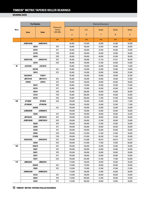|      | <b>Part Number</b> |                  |                                                |             |         | <b>Bearing Dimensions</b> |        |        |
|------|--------------------|------------------|------------------------------------------------|-------------|---------|---------------------------|--------|--------|
| Bore | <b>Inner</b>       | <b>Outer</b>     | <b>Dimension</b><br><b>Series</b><br>(ISO 355) | <b>Bore</b> | 0.D.    | Width                     | Width  | Width  |
|      |                    |                  |                                                | d           | D       | Τ                         | B      | C      |
|      |                    |                  | mm                                             | mm          | mm      | mm                        | mm     | mm     |
|      | JHM318448          | JHM318410        | ÷,                                             | 90,000      | 155,000 | 44,000                    | 44,000 | 35,500 |
|      |                    | 30218            | 3FB                                            | 90,000      | 160,000 | 32,500                    | 30,000 | 26,000 |
|      |                    | 32218            | 3FC                                            | 90,000      | 160,000 | 42,500                    | 40,000 | 34,000 |
|      |                    | 31318            | 7GB                                            | 90,000      | 190,000 | 46,500                    | 43,000 | 30,000 |
|      |                    | 30318            | 2GB                                            | 90,000      | 190,000 | 46,500                    | 43,000 | 36,000 |
|      | JHH221436          | JHH221413        | 2GC                                            | 90,000      | 190,000 | 57,150                    | 57,531 | 46,038 |
|      |                    | 32318            | 2GD                                            | 90,000      | 190,000 | 67,500                    | 64,000 | 53,000 |
| 95   | JL819349           | JL819310         | $\overline{a}$                                 | 95,000      | 135,000 | 20,000                    | 20,000 | 14,000 |
|      |                    | 32019X           | 4CC                                            | 95,000      | 145,000 | 32,000                    | 32,000 | 24,000 |
|      |                    | 33019            | 2CE                                            | 95,000      | 145,000 | 39,000                    | 39,000 | 32,500 |
|      | XAA33019           | Y33019           | $\overline{\phantom{a}}$                       | 95,000      | 145,000 | 39,000                    | 39,000 | 32,500 |
|      | JM719149           | JM719113         | 4DC                                            | 95,000      | 150,000 | 35,000                    | 34,000 | 27,000 |
|      | JF9549             | <b>JF9510</b>    | 2ED                                            | 95,000      | 160,000 | 46,000                    | 46,000 | 38,000 |
|      |                    | 30219            | 3FB                                            | 95,000      | 170,000 | 34,500                    | 32,000 | 27,000 |
|      |                    | 32219            | 3FC                                            | 95,000      | 170,000 | 45,500                    | 43,000 | 37,000 |
|      |                    | 30319            | 2GB                                            | 95,000      | 200,000 | 49,500                    | 45,000 | 38,000 |
|      |                    | 31319            | 7GB                                            | 95,000      | 200,000 | 49,500                    | 45,000 | 32,000 |
|      |                    | 32319            | 2GD                                            | 95,000      | 200,000 | 71,500                    | 67,000 | 55,000 |
| 100  | JP10049            | JP10010          | 4CB                                            | 100,000     | 145,000 | 24,000                    | 22,500 | 17,500 |
|      | JP10049A           | JP10010A         | $\overline{\phantom{a}}$                       | 100,000     | 145,000 | 24,000                    | 22,500 | 17,500 |
|      |                    | 32020X           | 4CC                                            | 100,000     | 150,000 | 32,000                    | 32,000 | 24,000 |
|      | <b>JLM820048</b>   | <b>JLM820012</b> | $\overline{\phantom{a}}$                       | 100,000     | 150,000 | 32,000                    | 30,000 | 26,000 |
|      |                    | 33020            | 2CE                                            | 100,000     | 150,000 | 39,000                    | 39,000 | 32,500 |
|      | JM720249           | JM720210         | 4DC                                            | 100,000     | 155,000 | 36,000                    | 35,000 | 28,000 |
|      | JHM720249          | JHM720210        | 4DD                                            | 100,000     | 160,000 | 41,000                    | 40,000 | 32,000 |
|      |                    | 30220            | 3FB                                            | 100,000     | 180,000 | 37,000                    | 34,000 | 29,000 |
|      |                    | 32220            | 3FC                                            | 100,000     | 180,000 | 49,000                    | 46,000 | 39,000 |
|      |                    | 33220            | 3FE                                            | 100,000     | 180,000 | 63,000                    | 63,000 | 48,000 |
|      | 30320              |                  | 2GB                                            | 100,000     | 215,000 | 51,500                    | 47,000 | 39,000 |
|      |                    | 31320X           | 7GB                                            | 100,000     | 215,000 | 56,500                    | 51,000 | 35,000 |
|      | JHH224333          | JHH224315        | 2GC                                            | 100,000     | 215,000 | 66,675                    | 66,675 | 53,975 |
|      |                    | 32320            | 2GD                                            | 100,000     | 215,000 | 77,500                    | 73,000 | 60,000 |
| 105  |                    | 32021X           | 4DC                                            | 105,000     | 160,000 | 35,000                    | 35,000 | 26,000 |
|      |                    | 33021            | 2DE                                            | 105,000     | 160,000 | 43,000                    | 43,000 | 34,000 |
|      |                    | 30221            | 3FB                                            | 105,000     | 190,000 | 39,000                    | 36,000 | 30,000 |
|      |                    | 32221            | 3FC                                            | 105,000     | 190,000 | 53,000                    | 50,000 | 43,000 |
|      |                    | 32321            | 2GD                                            | 105,000     | 225,000 | 81,500                    | 77,000 | 63,000 |
| 110  | JM822049           | JM822010         | $\overline{\phantom{a}}$                       | 110,000     | 165,000 | 35,000                    | 35,000 | 26,500 |
|      |                    | 32022X           | 4DC                                            | 110,000     | 170,000 | 38,000                    | 38,000 | 29,000 |
|      |                    | 33022            | 2DE                                            | 110,000     | 170,000 | 47,000                    | 47,000 | 37,000 |
|      | JHM522649          | JHM522610        | $\overline{\phantom{a}}$                       | 110,000     | 180,000 | 47,000                    | 46,000 | 38,000 |
|      |                    | 33122            | 3EE                                            | 110,000     | 180,000 | 56,000                    | 56,000 | 43,000 |
|      |                    | 30222            | 3FB                                            | 110,000     | 200,000 | 41,000                    | 38,000 | 32,000 |
|      |                    | 32222            | 3FC                                            | 110,000     | 200,000 | 56,000                    | 53,000 | 46,000 |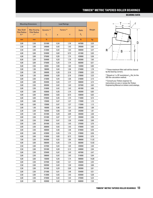#### **BEARING DATA**

|                                   | <b>Mounting Dimensions</b>   |                        |      | <b>Load Ratings</b>    |               |        |
|-----------------------------------|------------------------------|------------------------|------|------------------------|---------------|--------|
| <b>Max Shaft</b>                  | <b>Max Housing</b>           | Dynamic <sup>(2)</sup> |      | Factors <sup>(3)</sup> | <b>Static</b> | Weight |
| <b>Fillet Radius</b><br>$R^{(1)}$ | <b>Fillet Radius</b><br>r(1) | $C_{1}$                | e    | Y                      | $C_{0}$       |        |
| mm                                | mm                           | N                      |      |                        | N             | kg     |
| 3,00                              | 2,50                         | 331000                 | 0,34 | 1,76                   | 447000        | 3,33   |
| 2,50                              | 2,00                         | 240000                 | 0,42 | 1,43                   | 295000        | 2,63   |
| 2,50                              | 2,00                         | 312000                 | 0,42 | 1,43                   | 406000        | 3,47   |
| 4,00                              | 3,00                         | 324000                 | 0,83 | 0,73                   | 421000        | 5,93   |
| 4,00                              | 3,00                         | 375000                 | 0,35 | 1,74                   | 429000        | 5,56   |
| 8,00                              | 3,30                         | 534000                 | 0,33 | 1,79                   | 692000        | 7,65   |
| 4,00                              | 3,00                         | 575000                 | 0,35 | 1,74                   | 683000        | 8,51   |
| 5,00                              | 2,50                         | 83000                  | 0,58 | 1,03                   | 133000        | 0,85   |
| 2,00                              | 1,50                         | 186000                 | 0,44 | 1,36                   | 274000        | 1,78   |
| 2,00                              | 1,50                         | 246000                 | 0,28 | 2,16                   | 378000        | 2,23   |
| 6,00                              | 1,50                         | 246000                 | 0,28 | 2,16                   | 378000        | 2,23   |
| 3,00                              | 2,50                         | 215000                 | 0,44 | 1,36                   | 316000        | 2,15   |
| 3,00                              | 3,00                         | 354000                 | 0,34 | 1,77                   | 506000        | 3,74   |
| 3,00                              | 2,50                         | 265000                 | 0,42 | 1,43                   | 327000        | 3,02   |
| 3,00                              | 2,50                         | 316000                 | 0,42 | 1,43                   | 401000        | 4,06   |
| 4,00                              | 3,00                         | 428000                 | 0,35 | 1,74                   | 492000        | 6,65   |
| 4,00                              | 3,00                         | 360000                 | 0,83 | 0,73                   | 438000        | 6,63   |
| 4,00                              | 3,00                         | 578000                 | 0,35 | 1,74                   | 714000        | 9,74   |
| 3,00                              | 0,80                         | 125000                 | 0,47 | 1,27                   | 172000        | 1,15   |
| 5,00                              | 3,00                         | 125000                 | 0,47 | 1,27                   | 172000        | 1,13   |
| 2,00                              | 1,50                         | 195000                 | 0,46 | 1,31                   | 295000        | 1,89   |
| 2,30                              | 2,30                         | 162000                 | 0,50 | 1,20                   | 242000        | 1,81   |
| 2,00                              | 1,50                         | 251000                 | 0,29 | 2,09                   | 393000        | 2,36   |
| 3,00                              | 2,50                         | 231000                 | 0,47 | 1,27                   | 355000        | 2,36   |
| 3,00                              | 2,50                         | 279000                 | 0,47 | 1,28                   | 416000        | 3,00   |
| 3,00                              | 2,50                         | 301000                 | 0,42 | 1,43                   | 375000        | 3,76   |
| 3,00                              | 2,50                         | 368000                 | 0,42 | 1,43                   | 478000        | 4,92   |
| 3,00                              | 2,50                         | 488000                 | 0,40 | 1,48                   | 679000        | 6,59   |
| 4,00                              | 3,00                         | 423000                 | 0,35 | 1,74                   | 579000        | 8,36   |
| 4,00                              | 3,00                         | 416000                 | 0,83 | 0,73                   | 526000        | 8,76   |
| 7,00                              | 3,30                         | 642000                 | 0,33 | 1,84                   | 906000        | 11,52  |
| 4,00                              | 3,00                         | 586000                 | 0,35 | 1,74                   | 883000        | 12,92  |
| 2,50                              | 2,00                         | 227000                 | 0,44 | 1,35                   | 339000        | 2,40   |
| 2,50                              | 2,00                         | 291000                 | 0,28 | 2,12                   | 449000        | 2,94   |
| 3,00                              | 2,50                         | 325000                 | 0,42 | 1,43                   | 407000        | 4,47   |
| 3,00                              | 2,50                         | 398000                 | 0,42 | 1,43                   | 516000        | 5,94   |
| 4,00                              | 3,00                         | 726000                 | 0,35 | 1,74                   | 989000        | 14,00  |
| 3,00                              | 2,50                         | 227000                 | 0,50 | 1,21                   | 356000        | 2,45   |
| 2,50                              | 2,00                         | 282000                 | 0,43 | 1,39                   | 433000        | 3,06   |
| 2,50                              | 2,00                         | 341000                 | 0,29 | 2,09                   | 563000        | 3,81   |
| 3,00                              | 2,50                         | 371000                 | 0,41 | 1,48                   | 554000        | 4,51   |
| 2,50                              | 2,00                         | 412000                 | 0,42 | 1,43                   | 635000        | 5,38   |
| 3,00                              | 2,50                         | 374000                 | 0,42 | 1,43                   | 475000        | 5,24   |
| 3,00                              | 2,50                         | 493000                 | 0,42 | 1,43                   | 668000        | 7,28   |



(1) These maximum fillet radii will be cleared by the bearing corners.

<sup>(2)</sup> Based on 1 x 10<sup>6</sup> revolutions  $L_{10}$  life, for the ISO life-calculation method.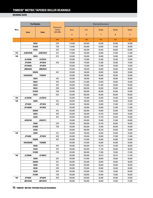|      | <b>Part Number</b> |                  |                                                |             |         | <b>Bearing Dimensions</b> |        |        |
|------|--------------------|------------------|------------------------------------------------|-------------|---------|---------------------------|--------|--------|
| Bore | <b>Inner</b>       | <b>Outer</b>     | <b>Dimension</b><br><b>Series</b><br>(ISO 355) | <b>Bore</b> | 0.D.    | Width                     | Width  | Width  |
|      |                    |                  |                                                | d           | D       | Τ                         | B      | C      |
|      |                    |                  | mm                                             | mm          | mm      | mm                        | mm     | mm     |
|      |                    | 30322            | 2GB                                            | 110,000     | 240,000 | 54,500                    | 50,000 | 42,000 |
|      | 31322X             |                  | 7GB                                            | 110,000     | 240,000 | 63,000                    | 57,000 | 38,000 |
|      |                    | 32322            | 2GD                                            | 110,000     | 240,000 | 84,500                    | 80,000 | 65,000 |
| 115  | <b>JLM722948</b>   | <b>JLM722912</b> | 4CC                                            | 115,000     | 165,000 | 28,000                    | 27,000 | 21,000 |
| 120  | 32924              |                  | 2CC                                            | 120,000     | 165,000 | 29.000                    | 29,000 | 23,000 |
|      | JL724348           | JL724314         | $\blacksquare$                                 | 120,000     | 170,000 | 25,400                    | 25,400 | 19,050 |
|      | JP12049            | JP12010          | 4CB                                            | 120,000     | 170,000 | 27,000                    | 25,000 | 19,500 |
|      | <b>JP12049A</b>    | JP12010          |                                                | 120,000     | 170,000 | 27,000                    | 25,000 | 19,500 |
|      | JM624649           | JM624610         |                                                | 120,000     | 180,000 | 36,000                    | 36,000 | 26,000 |
|      | 32024X             |                  | 4DC                                            | 120,000     | 180,000 | 38,000                    | 38,000 | 29,000 |
|      | XAA32024X          | Y32024X          | $\blacksquare$                                 | 120,000     | 180,000 | 38,000                    | 38,000 | 29,000 |
|      | 33024              |                  | 2DE                                            | 120,000     | 180,000 | 48,000                    | 48,000 | 38,000 |
|      |                    | 30224            | 4FB                                            | 120,000     | 215,000 | 43,500                    | 40,000 | 34,000 |
|      | 32224              |                  | 4FD                                            | 120,000     | 215,000 | 61,500                    | 58,000 | 50,000 |
|      | 30324              |                  | 2GB                                            | 120,000     | 260,000 | 59,500                    | 55,000 | 46,000 |
|      |                    | 31324X           | 7GB                                            | 120,000     | 260,000 | 68,000                    | 62,000 | 42,000 |
|      | 32324              |                  | 2GD                                            | 120,000     | 260,000 | 90,500                    | 86,000 | 69,000 |
| 125  | JL725346           | JL725316         | $\overline{\phantom{a}}$                       | 125,000     | 175,000 | 25,400                    | 25,400 | 18,288 |
| 130  | 32926              |                  | 2CC                                            | 130,000     | 180,000 | 32,000                    | 32,000 | 25,000 |
|      | JP13049            | JP13010          | 4CB                                            | 130,000     | 185,000 | 29,000                    | 27,000 | 21,000 |
|      | JP13049A           | JP13010          | $\blacksquare$                                 | 130,000     | 185,000 | 29,000                    | 27,000 | 21,000 |
|      | 32026X             |                  | 4EC                                            | 130,000     | 200,000 | 45,000                    | 45,000 | 34,000 |
|      | 30226              |                  | 4FB                                            | 130,000     | 230,000 | 43,750                    | 40,000 | 34,000 |
|      | 32226              |                  | 4FD                                            | 130,000     | 230,000 | 67,750                    | 64,000 | 54,000 |
|      | JH429148           | JH429111         | $\overline{\phantom{a}}$                       | 130,000     | 240,000 | 76,000                    | 72,000 | 60,000 |
|      |                    | 30326            | 2GB                                            | 130,000     | 280,000 | 63,750                    | 58,000 | 49,000 |
|      |                    | 31326X           | 7GB                                            | 130,000     | 280,000 | 72,000                    | 66,000 | 44,000 |
|      | 32326              |                  | ÷,                                             | 130,000     | 280.000 | 98,750                    | 93,000 | 78,000 |
| 140  | 32928              |                  | 2CC                                            | 140,000     | 190,000 | 32,000                    | 32,000 | 25,000 |
|      | JP14049            | JP14010          | 4CB                                            | 140,000     | 195,000 | 29,000                    | 27,000 | 21,000 |
|      | 32028X             |                  | 4DC                                            | 140,000     | 210,000 | 45,000                    | 45,000 | 34,000 |
|      | XAA32028X          | Y32028X          | $\overline{\phantom{a}}$                       | 140,000     | 210,000 | 45,000                    | 45,000 | 34,000 |
|      |                    | 30228            | 4FB                                            | 140,000     | 250,000 | 45,750                    | 42,000 | 36,000 |
|      |                    | 32228            | 4FD                                            | 140,000     | 250,000 | 71,750                    | 68,000 | 58,000 |
|      | 31328X             |                  | 7GB                                            | 140,000     | 300,000 | 77,000                    | 70,000 | 47,000 |
| 150  | JL730646           | JL730612         | $\mathbb{Z}^+$                                 | 150,000     | 205,000 | 28,575                    | 28,575 | 21,438 |
|      |                    | 32930            | 2DC                                            | 150,000     | 210,000 | 38,000                    | 38,000 | 30,000 |
|      |                    | 32030X           | 4EC                                            | 150,000     | 225,000 | 48,000                    | 48,000 | 36,000 |
|      |                    | 33030            | 2EE                                            | 150,000     | 225,000 | 59,000                    | 59,000 | 46,000 |
|      |                    | 30230            | 4GB                                            | 150,000     | 270,000 | 49,000                    | 45,000 | 38,000 |
|      |                    | 32230            | 4GD                                            | 150,000     | 270,000 | 77,000                    | 73,000 | 60,000 |
|      | 31330X             |                  | 7GB                                            | 150,000     | 320,000 | 82,000                    | 75,000 | 50,000 |
| 160  | JP16049            | JP16010          | 4DB                                            | 160,000     | 220,000 | 32,000                    | 30,000 | 23,000 |
|      | JM734445           | JM734410         | $\Box$                                         | 160,000     | 240,000 | 46,000                    | 44,500 | 37,000 |
|      |                    |                  |                                                |             |         |                           |        |        |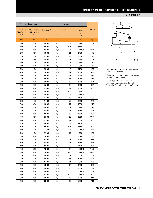#### **BEARING DATA**

|                                   | <b>Mounting Dimensions</b>   |                        |      | <b>Load Ratings</b>    |                  |        |
|-----------------------------------|------------------------------|------------------------|------|------------------------|------------------|--------|
| <b>Max Shaft</b>                  | <b>Max Housing</b>           | Dynamic <sup>(2)</sup> |      | Factors <sup>(3)</sup> | <b>Static</b>    | Weight |
| <b>Fillet Radius</b><br>$R^{(1)}$ | <b>Fillet Radius</b><br>r(1) | $C_{1}$                | e    | Y                      | $\mathtt{C_{o}}$ |        |
| mm                                | mm                           | Ν                      |      |                        | N                | kg     |
| 4,00                              | 3,00                         | 502000                 | 0,35 | 1,74                   | 732000           | 11,50  |
| 4,00                              | 3,00                         | 523000                 | 0,83 | 0,73                   | 663000           | 12,13  |
| 4,00                              | 3,00                         | 760000                 | 0,35 | 1,74                   | 1020000          | 16,99  |
| 3,30                              | 3,00                         | 160000                 | 0,46 | 1,31                   | 245000           | 1,75   |
| 1,50                              | 1,50                         | 179000                 | 0,35 | 1,72                   | 308000           | 1,78   |
| 3,30                              | 3,30                         | 145000                 | 0,46 | 1,31                   | 231000           | 1,62   |
| 3,00                              | 3,00                         | 165000                 | 0,47 | 1,27                   | 238000           | 1,70   |
| 6,00                              | 3,00                         | 165000                 | 0,47 | 1,27                   | 238000           | 1,69   |
| 3,50                              | 1,50                         | 247000                 | 0,41 | 1,45                   | 377000           | 2,93   |
| 2,50                              | 2,00                         | 292000                 | 0,46 | 1,31                   | 466000           | 3,27   |
| 5,00                              | 2,00                         | 292000                 | 0,46 | 1,31                   | 466000           | 3,25   |
| 2,50                              | 2,00                         | 352000                 | 0,31 | 1,97                   | 603000           | 4,19   |
| 3,00                              | 2,50                         | 374000                 | 0,44 | 1,38                   | 508000           | 6,24   |
| 3,00                              | 2,50                         | 553000                 | 0,44 | 1,38                   | 831000           | 9,27   |
| 4,00                              | 3,00                         | 624000                 | 0,35 | 1,74                   | 807000           | 14,17  |
| 4,00                              | 3,00                         | 606000                 | 0,83 | 0,73                   | 777000           | 15,37  |
| 4,00                              | 3,00                         | 908000                 | 0,35 | 1,74                   | 1250000          | 21,53  |
| 3,30                              | 3,30                         | 150000                 | 0,48 | 1,26                   | 246000           | 1,69   |
| 2,00                              | 1,50                         | 210000                 | 0,34 | 1,77                   | 356000           | 2,36   |
| 3,00                              | 3,00                         | 196000                 | 0,47 | 1,27                   | 283000           | 2,16   |
| 3,00                              | 3,00                         | 196000                 | 0,47 | 1,27                   | 283000           | 2,15   |
| 2,50                              | 2,00                         | 386000                 | 0,43 | 1,38                   | 617000           | 4,98   |
| 4,00                              | 3,00                         | 407000                 | 0,44 | 1,38                   | 550000           | 7,06   |
| 4,00                              | 3,00                         | 644000                 | 0,44 | 1,38                   | 982000           | 11,39  |
| 4,00                              | 4,30                         | 618000                 | 0,36 | 1,67                   | 955000           | 14,25  |
| 5,10                              | 4,00                         | 752000                 | 0,35 | 1,74                   | 990000           | 17,43  |
| 5,10                              | 4,00                         | 691000                 | 0,83 | 0,73                   | 966000           | 19,13  |
| 5,00                              | 5,00                         | 1120000                | 0,35 | 1,74                   | 1460000          | 26,98  |
| 2,00                              | 1,50                         | 227000                 | 0,36 | 1,67                   | 405000           | 2,50   |
| 3,00                              | 3,00                         | 203000                 | 0,50 | 1,19                   | 304000           | 2,29   |
| 6,50                              | 2,00                         | 371000                 | 0,46 | 1,31                   | 644000           | 5,23   |
| 6,50                              | 2,00                         | 371000                 | 0,46 | 1,31                   | 644000           | 5,23   |
| 4,00                              | 3,00                         | 474000                 | 0,44 | 1,38                   | 649000           | 8,92   |
| 4,00                              | 3,00                         | 707000                 | 0,44 | 1,38                   | 1070000          | 14,33  |
| 5,00                              | 4,00                         | 785000                 | 0,83 | 0,73                   | 1020000          | 22,85  |
| 3,30                              | 3,30                         | 183000                 | 0,46 | 1,31                   | 339000           | 2,61   |
| 2,50                              | 2,00                         | 306000                 | 0,33 | 1,83                   | 573000           | 3,99   |
| 3,00                              | 2,50                         | 418000                 | 0,46 | 1,31                   | 730000           | 6,38   |
| 3,00                              | 2,50                         | 530000                 | 0,36 | 1,65                   | 949000           | 8,00   |
| 4,00                              | 3,00                         | 533000                 | 0,44 | 1,38                   | 735000           | 11,03  |
| 4,00                              | 3,00                         | 804000                 | 0,44 | 1,38                   | 1230000          | 17,70  |
| 5,00                              | 4,00                         | 862000                 | 0,83 | 0,73                   | 1200000          | 28,17  |
| 3,00                              | 3,00                         | 229000                 | 0,49 | 1,23                   | 372000           | 3,17   |
| 3,00                              | 2,50                         | 401000                 | 0,44 | 1,37                   | 759000           | 7,14   |



(1) These maximum fillet radii will be cleared by the bearing corners.

<sup>(2)</sup> Based on 1 x 10<sup>6</sup> revolutions  $L_{10}$  life, for the ISO life-calculation method.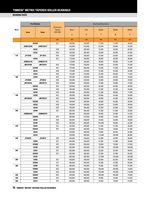|             | <b>Part Number</b> |              |                                   | <b>Bearing Dimensions</b> |         |         |         |         |  |
|-------------|--------------------|--------------|-----------------------------------|---------------------------|---------|---------|---------|---------|--|
| <b>Bore</b> |                    |              | <b>Dimension</b><br><b>Series</b> | <b>Bore</b>               | 0.D.    | Width   | Width   | Width   |  |
|             | <b>Inner</b>       | <b>Outer</b> | (ISO 355)                         | d                         | D       | T       | B       | C       |  |
|             |                    |              | mm                                | mm                        | mm      | mm      | mm      | mm      |  |
|             | 32032X             |              | 4EC                               | 160,000                   | 240,000 | 51,000  | 51,000  | 38,000  |  |
|             | JHM133449          | JHM133417    |                                   | 160,000                   | 255,000 | 63,500  | 69,850  | 52,388  |  |
|             | 30232              |              | 4GB                               | 160,000                   | 290,000 | 52,000  | 48,000  | 40,000  |  |
|             | 32232              |              | 4GD                               | 160,000                   | 290,000 | 84,000  | 80,000  | 67,000  |  |
| 170         | JP17049            | JP17010      | 4DB                               | 170,000                   | 230,000 | 32,000  | 30,000  | 23,000  |  |
|             | 32934              |              | 3DC                               | 170,000                   | 230,000 | 38,000  | 38,000  | 30,000  |  |
|             | JHM534149          | JHM534110    | $\blacksquare$                    | 170,000                   | 230,000 | 39,000  | 38,000  | 31,000  |  |
|             | JM734449           | JM734410     | 4DD                               | 170,000                   | 240,000 | 46,000  | 44,500  | 37,000  |  |
|             | 32034X             |              | 4EC                               | 170,000                   | 260,000 | 57,000  | 57,000  | 43,000  |  |
|             | 30234              |              | 4GB                               | 170,000                   | 310,000 | 57.000  | 52,000  | 43,000  |  |
|             | 32234              |              | 4GD                               | 170,000                   | 310,000 | 91,000  | 86,000  | 71,000  |  |
| 180         | 32936              |              | 4DC                               | 180,000                   | 250,000 | 45,000  | 45,000  | 34,000  |  |
|             | JP18049            | JP18010      | 4DB                               | 180,000                   | 240,000 | 32,000  | 30,000  | 23,000  |  |
|             | JM736149           | JM736110     | 4DD                               | 180,000                   | 250,000 | 47,000  | 45,000  | 37,000  |  |
|             |                    | 32036X       | 3FD                               | 180.000                   | 280,000 | 64,000  | 64,000  | 48,000  |  |
|             | 30236              |              | 4GB                               | 180,000                   | 320,000 | 57.000  | 52,000  | 43,000  |  |
|             | 32236              |              | 4GD                               | 180,000                   | 320,000 | 91,000  | 86,000  | 71,000  |  |
| 190         | 32938              |              | 4DC                               | 190,000                   | 260,000 | 45,000  | 45,000  | 34,000  |  |
|             | JM738249           | JM738210     | 4DD                               | 190,000                   | 260,000 | 46,000  | 44,000  | 36,500  |  |
|             | 32038X             |              | 4FD                               | 190,000                   | 290,000 | 64,000  | 64,000  | 48,000  |  |
|             | 30238              |              | 4GB                               | 190,000                   | 340,000 | 60,000  | 55,000  | 46,000  |  |
|             | 32238              |              | 4GD                               | 190,000                   | 340,000 | 97,000  | 92,000  | 75,000  |  |
| 200         | 32940              |              | 3EC                               | 200,000                   | 280,000 | 51,000  | 51,000  | 39,000  |  |
|             | JHM840449          | JHM840410    | $\overline{\phantom{a}}$          | 200,000                   | 300,000 | 65,000  | 62,000  | 51,000  |  |
|             |                    | 32040X       | 4FD                               | 200,000                   | 310,000 | 70,000  | 70,000  | 53,000  |  |
|             | 30240              |              | 4GB                               | 200,000                   | 360,000 | 64,000  | 58,000  | 48,000  |  |
|             | 32240              |              | 3GD                               | 200,000                   | 360,000 | 104,000 | 98,000  | 82,000  |  |
| 220         |                    | 32944        |                                   | 220,000                   | 300,000 | 51,000  | 51,000  | 39,000  |  |
|             | 32044X             |              | 4FD                               | 220,000                   | 340,000 | 76,000  | 76,000  | 57,000  |  |
|             | 30244              |              | $\overline{\phantom{a}}$          | 220,000                   | 400,000 | 72,000  | 65,000  | 54,000  |  |
|             | 32244              |              | $\overline{\phantom{a}}$          | 220,000                   | 400,000 | 114,000 | 108,000 | 90,000  |  |
| 240         | JP24049            | JP24010      | 4EB                               | 240,000                   | 320,000 | 42,000  | 39,000  | 30,000  |  |
|             | 32948              |              | 4EC                               | 240,000                   | 320,000 | 51,000  | 51,000  | 39,000  |  |
|             |                    | 32048X       | 4FD                               | 240,000                   | 360,000 | 76,000  | 76,000  | 57,000  |  |
|             |                    | 32248        | 4GD                               | 240,000                   | 440,000 | 127,000 | 120,000 | 100,000 |  |
| 260         |                    | 32952        | 3EC                               | 260,000                   | 360,000 | 63,500  | 63,500  | 48,000  |  |
|             |                    | 32052X       | 4FC                               | 260,000                   | 400,000 | 87,000  | 87,000  | 65,000  |  |
|             |                    | 32252        | $\overline{\phantom{a}}$          | 260,000                   | 480,000 | 137,000 | 130,000 | 106,000 |  |
| 280         |                    | 32956        | 4EC                               | 280,000                   | 380,000 | 63,500  | 63,500  | 48,000  |  |
|             |                    | 32056X       | 4FC                               | 280,000                   | 420,000 | 87,000  | 87,000  | 65.000  |  |
| 300         |                    | 32960        | 3FD                               | 300,000                   | 420,000 | 76,000  | 76,000  | 57,000  |  |
|             |                    | 32060X       | 4GD                               | 300,000                   | 460,000 | 100,000 | 100,000 | 74,000  |  |
|             |                    | 32260        | 4GD                               | 300,000                   | 540,000 | 149,000 | 140,000 | 115,000 |  |
| 320         |                    | 32064X       | 4GD                               | 320,000                   | 480,000 | 100,000 | 100,000 | 74,000  |  |
| 340         | 32968              |              | 4FD                               | 340,000                   | 460,000 | 76,000  | 76,000  | 57,000  |  |
| 360         | 32972              |              | 4FD                               | 360,000                   | 480,000 | 76,000  | 76,000  | 57,000  |  |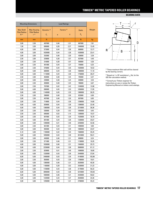#### **BEARING DATA**

| <b>Mounting Dimensions</b>        |                              |                        |                        |      |               |        |
|-----------------------------------|------------------------------|------------------------|------------------------|------|---------------|--------|
| <b>Max Shaft</b>                  | <b>Max Housing</b>           | Dynamic <sup>(2)</sup> | Factors <sup>(3)</sup> |      | <b>Static</b> | Weight |
| <b>Fillet Radius</b><br>$R^{(1)}$ | <b>Fillet Radius</b><br>r(1) | $C_{1}$                | e                      | Y    | $C_{0}$       |        |
| mm                                | mm                           | Ν                      |                        |      | N             | kg     |
| 3,00                              | 2,50                         | 487000                 | 0,46                   | 1,31 | 867000        | 7,81   |
| 1,50                              | 3,30                         | 600000                 | 0,26                   | 2,27 | 1040000       | 12,45  |
| 4,00                              | 3,00                         | 573000                 | 0,44                   | 1,38 | 868000        | 13,77  |
| 4,00                              | 3,00                         | 1020000                | 0,44                   | 1,38 | 1630000       | 23,41  |
| 3,00                              | 3,00                         | 252000                 | 0,46                   | 1,30 | 436000        | 3,39   |
| 2,50                              | 2,00                         | 329000                 | 0,38                   | 1,57 | 637000        | 4,40   |
| 3,00                              | 2,50                         | 316000                 | 0,38                   | 1,57 | 590000        | 4,30   |
| 3,00                              | 2,50                         | 401000                 | 0,44                   | 1,37 | 759000        | 6,25   |
| 3,00                              | 2,50                         | 576000                 | 0,44                   | 1,35 | 1020000       | 10,52  |
| 5,00                              | 4,00                         | 680000                 | 0,44                   | 1,38 | 1000000       | 17,10  |
| 5,00                              | 4,00                         | 1110000                | 0,44                   | 1,38 | 1750000       | 28,37  |
| 2,50                              | 2,00                         | 403000                 | 0,48                   | 1,25 | 795000        | 6,47   |
| 3,00                              | 3,00                         | 239000                 | 0,48                   | 1,24 | 409000        | 3,54   |
| 3,00                              | 2,50                         | 409000                 | 0,48                   | 1,25 | 786000        | 6,67   |
| 3,00                              | 2,50                         | 707000                 | 0,42                   | 1,42 | 1240000       | 13,98  |
| 5,00                              | 4,00                         | 690000                 | 0,45                   | 1,33 | 1050000       | 17,95  |
| 5,00                              | 4,00                         | 1140000                | 0,45                   | 1,33 | 1900000       | 30,25  |
| 2,50                              | 2,00                         | 398000                 | 0,48                   | 1,26 | 833000        | 6,90   |
| 3,00                              | 2,50                         | 407000                 | 0,48                   | 1,26 | 807000        | 6,85   |
| 3,00                              | 2,50                         | 719000                 | 0,44                   | 1,36 | 1290000       | 14,60  |
| 5,00                              | 4,00                         | 839000                 | 0,44                   | 1,38 | 1390000       | 22,48  |
| 5,00                              | 4,00                         | 1360000                | 0,44                   | 1,38 | 2210000       | 36,36  |
| 3,00                              | 2,50                         | 530000                 | 0,39                   | 1,52 | 1050000       | 9,45   |
| 3,50                              | 2,50                         | 695000                 | 0,52                   | 1,15 | 1280000       | 15,57  |
| 3,00                              | 2,50                         | 847000                 | 0,43                   | 1,39 | 1520000       | 18,70  |
| 5,00                              | 4,00                         | 891000                 | 0,44                   | 1,38 | 1330000       | 25,67  |
| 5,00                              | 4,00                         | 1390000                | 0,41                   | 1,48 | 2250000       | 42,56  |
| 3,00                              | 2,50                         | 561000                 | 0,43                   | 1,41 | 1090000       | 9,90   |
| 4,00                              | 3,00                         | 994000                 | 0,43                   | 1,39 | 1800000       | 23,97  |
| 5,10                              | 4,00                         | 1100000                | 0,42                   | 1,43 | 1560000       | 35,25  |
| 5,00                              | 4,00                         | 1850000                | 0,44                   | 1,38 | 3010000       | 59,41  |
| 3,00                              | 3,00                         | 440000                 | 0,46                   | 1,31 | 808000        | 8,24   |
| 3,00                              | 2,50                         | 571000                 | 0,46                   | 1,31 | 1150000       | 10,35  |
| 4,00                              | 3,00                         | 1030000                | 0,46                   | 1,31 | 1940000       | 25,73  |
| 5,00                              | 4,00                         | 2230000                | 0,44                   | 1,38 | 3680000       | 81,12  |
| 3,00                              | 2,50                         | 829000                 | 0,41                   | 1,48 | 1690000       | 18,60  |
| 5,00                              | 4,00                         | 1320000                | 0,43                   | 1,38 | 2440000       | 37,84  |
| 6,00                              | 5,00                         | 2490000                | 0,43                   | 1,39 | 4140000       | 103,96 |
| 3,00                              | 2,50                         | 850000                 | 0,43                   | 1,39 | 1780000       | 19,81  |
| 5,00                              | 4,00                         | 1380000                | 0,46                   | 1,31 | 2620000       | 40,30  |
| 4,00                              | 3,00                         | 1180000                | 0,39                   | 1,52 | 2430000       | 31,23  |
| 5,00                              | 4,00                         | 1730000                | 0,43                   | 1,38 | 3170000       | 56,32  |
| 6,00                              | 5,00                         | 3090000                | 0,43                   | 1,38 | 5310000       | 139,93 |
| 5,00                              | 4,00                         | 1800000                | 0,46                   | 1,31 | 3420000       | 59,62  |
| 4,00                              | 3,00                         | 1220000                | 0,44                   | 1,37 | 2640000       | 34,46  |
| 4,00                              | 3,00                         | 1250000                | 0,46                   | 1,31 | 2780000       | 45,22  |
|                                   |                              |                        |                        |      |               |        |



(1) These maximum fillet radii will be cleared by the bearing corners.

<sup>(2)</sup> Based on 1 x 10<sup>6</sup> revolutions  $L_{10}$  life, for the ISO life-calculation method.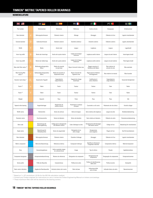#### **NOMENCLATURE**

|                                             |    | DE                                  | ES <sup>I</sup><br>$\epsilon$                       | FR I                               | $\blacksquare$                                      | PT +                              | $SE +$                       |
|---------------------------------------------|----|-------------------------------------|-----------------------------------------------------|------------------------------------|-----------------------------------------------------|-----------------------------------|------------------------------|
| Part number                                 |    | Teilennummer                        | Referencia                                          | Référence                          | Codice articolo                                     | Designação                        | Artikelnummer                |
| Bore diameter                               | d. | Bohrungsdurchmesser                 | Diámetro interior                                   | Alésage                            | Alesaggio                                           | Diâmetro do furo                  | Lagrets innerdiameter        |
| Outside diameter                            | D  | Außendurchmesser                    | Diámetro exterior                                   | Diamètre extérieur                 | Diametro esterno                                    | Diâmetro externo                  | Lagrets ytterdiameter        |
| Width                                       |    | Breite                              | Ancho total                                         | Largeur                            | Larghezza                                           | Largura                           | Lagerbredd                   |
| Inner ring width                            | B  | Breite des Innenrings               | Ancho de la pista interior                          | Largeur de la bague<br>intérieure  | Larghezza anello interno                            | Largura do anel interno           | Innerringens bredd           |
| Outer ring width                            | C  | Breite des Außenrings               | Ancho de la pista exterior                          | Largeur de la bague<br>extérieure  | Larghezza anello esterno                            | Largura do anel externo           | Ytterringens bredd           |
| Max shaft fillet radius <sup>(3)</sup>      | R  | Wellenabrundungsradius<br>(Max.)    | Radios de acuerdo<br>en eje (max)                   | Rayon d'arrondi d'arbre max        | Raggio massimo di<br>filettatura dell'albero        | Raio máximo do<br>encosto do eixo | Max axelradie                |
| Max housing fillet<br>radius <sup>(3)</sup> |    | Gehäuseabrundungsradius<br>(Max.)   | Radios de acuerdo en<br>alojamiento (max)           | Rayon d'arrondi de<br>logement max | Raggio massimo di filettatura<br>dell'alloggiamento | Raio máximo do mancal             | Max husradie                 |
| Dynamic load rating <sup>(1)</sup>          |    | Dynamische Tragzahl                 | Capacidad de<br>carga dinámica                      | Capacité de charge<br>dynamique    | Coefficiente di<br>carico dinamico                  | Capacidade de<br>carga dinâmica   | Dynamiskt bärighetstal       |
| Factor <sup>(2)</sup>                       | e  | Faktor                              | Factor                                              | Facteur                            | Fattore                                             | Fator                             | Faktor                       |
| Factor <sup>(2)</sup>                       |    | Faktor                              | Factor                                              | Facteur                            | Fattore                                             | Fator                             | Faktor                       |
| Weight                                      |    | Gewicht                             | Peso                                                | Poids                              | Peso                                                | Peso                              | Vikt                         |
| Tapered roller bearing                      |    | Kegelrollenlager                    | Rodamiento de<br>rodillos cónicos                   | Roulement à rouleaux<br>côniques   | Cuscinetto a rulli conici                           | Rolamento de rolo cônico          | Koniskt rullager             |
| Width series                                |    | Breitenreihe                        | Series de anchura                                   | Séries de largeur                  | Serie relativa alla larghezza                       | Largura da série                  | Breddseriebeteckning         |
| Diameter series                             |    | Durchmesserreihe                    | Series de diámetro                                  | Séries de diamètre                 | Serie relativa al diametro                          | Diâmetro da série                 | Diameterseriebeteckning      |
| Bore code                                   |    | Bezeichnung der<br>Innenringbohrung | Código para la designación<br>del diámetro interior | Code d'alésage du cône             | Designazione dell'alesaggio<br>dell'anello interno  | Código do furo                    | Beteckning för innerdiameter |
| Angle series                                |    | Bezeichnung für<br>Winkelbaureihe   | Series de angularidad                               | Désignation de la<br>série d'angle | Designazione<br>serie angolare                      | Ângulo do furo                    | Kod för konvinkelserie       |
| Bore diameter                               |    | Bohrungsdurchmesser                 | Diámetro interior                                   | Diamètre d'alésage                 | Alesaggio                                           | Diâmetro do Furo                  | Lagrets innerdiameter        |
| Metric component                            |    | Metrische Bezeichnung               | Referencia métrica                                  | Composant métrique                 | Identifica le dimensioni<br>d'ingombro metriche     | Componente métrico                | Metrisk komponent            |
| Duty                                        |    | Verwendungsklasse                   | Indica a grandes rasgos<br>las características      | Usage                              | Tipo di utilizzo                                    | Pesado                            | Applikationsklass            |
| Component designator                        |    | Komponentenbezeichnung              | Número de referencia                                | Désignation du composant           | Designazione del<br>componente                      | Designação do componente          | Komponentnummer              |
| Series prefix                               |    | Präfix der Baureihe                 | Características                                     | Préfixe de la série                | Prefisso di identificazione<br>della serie          | Prefixo da série                  | Serieprefix                  |
| Basic series indication                     |    | Angabe der Basisbaureihe            | Indicativo básico de la serie                       | Série de base                      | Indicazione delle<br>serie di base                  | Indicador básico da série         | Basserienummer               |

 $(1)$  Based on 1 x 10 $\textdegree$  revolutions L10 life for the ISO life calculation method.

(2) Consult your Timken engineer for instructions on use or review the Timken Engineering Manual on timken.com/catalogs.

<sup>(3)</sup> These maximum fillet radii will be cleared by the bearing corners.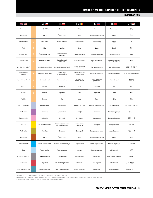#### **NOMENCLATURE**

|                                             |   | $C \geq 1$                    | PL'                                                    | RO I                                           | <b>RU</b>                               | TR <sub>C</sub>               | <b>JP O</b>           |
|---------------------------------------------|---|-------------------------------|--------------------------------------------------------|------------------------------------------------|-----------------------------------------|-------------------------------|-----------------------|
| Part number                                 |   | Označení ložiska              | Oznaczenie                                             | Simbol                                         | Обозначение                             | Parca numarası                | 内径                    |
| Bore diameter                               | n | Průměr díry                   | Średnica otworu                                        | Alezaj                                         | Диаметр внутренного отверстия           | Delik çapı                    | 外径                    |
| Outside diameter                            | n | Vnější průměr                 | Średnica zewnętrzna                                    | Diametrul exterior                             | Наружный диаметр                        | Dış çap                       | 幅                     |
| Width                                       |   | Šířka                         | Szerokość                                              | Lățime                                         | Ширина                                  | Genişlik                      | 型番                    |
| Inner ring width                            | B | Šířka vnitřního kroužku       | Szerokość pierścienia<br>wewnętrznego                  | Lățimea inelului interior                      | Ширина внутреннего кольца               | İç bilezik genişliği (mm)     | 内輪幅                   |
| Outer ring width                            | C | Šířka vnějšího kroužku        | Szerokość pierścienia<br>zewnętrznego                  | Lățimea inelului exterior                      | Ширина наружного кольца                 | Dış bilezik genişliği (mm)    | 外輪幅                   |
| Max shaft fillet radius <sup>(3)</sup>      | R | Max. poloměr zaoblení hřídele | Wał - ścięcie montażowe (maks.)                        | Raza max, de racordare<br>a umărului arborelui | Макс. радиус галтели вала               | Maks. mil köşe radyüsü        | 軸面取り (上限値) (3)        |
| Max housing fillet<br>radius <sup>(3)</sup> |   | Max. poloměr zaoblení skříně  | Obudowa - ścięcie<br>montażowe (maks.)                 | Raza max, de racordare<br>a umărului carcasei  | Макс. радиус галтели корпуса            | Maks. yatak köşe radyüsü      | (3)<br>ハウジング面取り (上限値) |
| Dynamic load rating (1)                     |   | Dynamická únosnost            | Nośność dynamiczna                                     | Capacitatea de<br>încărcare dinamică           | Базовая динамическая<br>грузоподъемость | Dinamik yük değeri            | 動定格荷重                 |
| Factor <sup>(2)</sup>                       | e | Součinitel                    | Współczynnik                                           | Factor                                         | Коэффициент                             | Faktör                        | 係数                    |
| Factor <sup>(2)</sup>                       |   | Součinitel                    | Współczynnik                                           | Factor                                         | Коэффициент                             | Faktör                        | 係数                    |
| Weight                                      |   | Hmotnost                      | Masa                                                   | Masa                                           | Macca                                   | Ağırlık                       | 重量                    |
| Tapered roller bearing                      |   | Kuželíkové ložisko            | Łożysko stożkowe                                       | Rulment cu role conice                         | Конический роликовый подшипник          | Konik makaralı rulman         | テーパローラベアリング           |
| Width series                                |   | Šířková řada                  | Seria szerokości                                       | Serie lățimi                                   | Серия ширин                             | Genişlik serisi göstergesi    | 幅シリーズ                 |
| Diameter series                             |   | Průměrová řada                | Seria średnic                                          | Serie diametre                                 | Серия диаметров                         | Dış çap serisi göstergesi     | 直径シリーズ                |
| Bore code                                   |   | Kód díry vnitřního kroužku    | Oznaczenie średnicy otworu<br>pierścienia wewnętrznego | Indicativul alezajului<br>inelului interior    | Код отверстия                           | Delik çapı numarası           | 内径コード                 |
| Angle series                                |   | Úhlová řada                   | Seria katów                                            | Serie unghiuri                                 | Серия углов наклона роликов             | Açı serisi göstergesi         | 角度シリーズ                |
| Bore diameter                               |   | Průměr díry                   | Średnica otworu                                        | Alezaj                                         | Диаметр внутренного отверстия           | Delik çapı                    | 内径                    |
| Metric component                            |   | Indikace metrické součásti    | Łożysko w systemie metrycznym                          | Component metric                               | Указатель метрической серии             | Metrik rulman göstergesi      | メートル系部品               |
| Duty                                        |   | Provozní podmínky             | Rodzaj zastosowania                                    | Incarcare                                      | Назначение подшипника                   | Yük/Hizmet sınıfı             | 負荷                    |
| Component designator                        |   | Indikace komponentu           | Wyróżnik elementu                                      | Indicativ component                            | Тип компонента                          | Rulman bileşenleri göstergesi | 部品識別子                 |
| Series prefix                               |   | Předpona řady                 | Klasa obciążenia (przedrostek)                         | Prefixul seriei                                | Класс нагружения                        | Yük/Hizmet sınıfı             | シリーズ先頭コード             |
| Basic series indication                     |   | Základní značení řady         | Oznaczenie podstawowe serii                            | Indicativul seriei de bază                     | Основная серия                          | Rulman tipi göstergesi        | 基本シリーズコード             |

 $(1)$  Based on 1 x 10 $\textdegree$  revolutions L10 life for the ISO life calculation method.

(2) Consult your Timken engineer for instructions on use or review the Timken Engineering Manual on timken.com/catalogs.

<sup>(3)</sup> These maximum fillet radii will be cleared by the bearing corners.